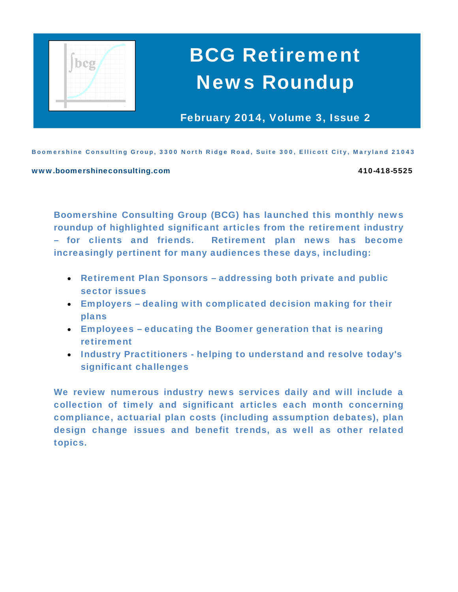

# BCG Retirement News Roundup

February 2014, Volume 3, Issue 2

Boomershine Consulting Group, 3300 North Ridge Road, Suite 300, Ellicott City, Maryland 21043

#### www.boomershineconsulting.com 410-418-5525

Boomershine Consulting Group (BCG) has launched this monthly news roundup of highlighted significant articles from the retirement industry – for clients and friends. Retirement plan news has become increasingly pertinent for many audiences these days, including:

- Retirement Plan Sponsors addressing both private and public sector issues
- Employers dealing with complicated decision making for their plans
- Employees educating the Boomer generation that is nearing retirement
- Industry Practitioners helping to understand and resolve today's significant challenges

We review numerous industry news services daily and will include a collection of timely and significant articles each month concerning compliance, actuarial plan costs (including assumption debates), plan design change issues and benefit trends, as well as other related topics.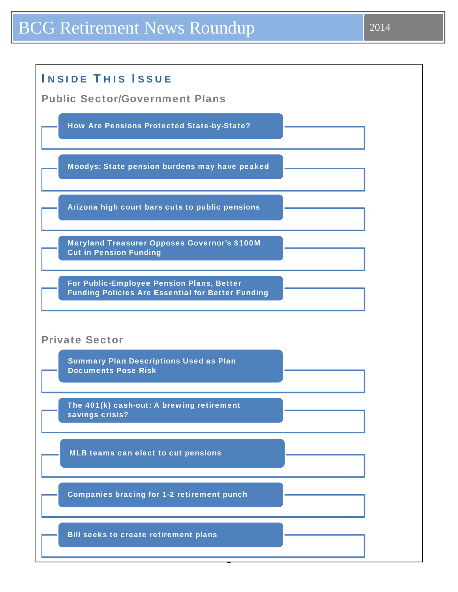# BCG Retirement News Roundup 2014

| <b>INSIDE THIS ISSUE</b>                                                                              |  |
|-------------------------------------------------------------------------------------------------------|--|
| <b>Public Sector/Government Plans</b>                                                                 |  |
| <b>How Are Pensions Protected State-by-State?</b>                                                     |  |
| Moodys: State pension burdens may have peaked                                                         |  |
| Arizona high court bars cuts to public pensions                                                       |  |
| <b>Maryland Treasurer Opposes Governor's \$100M</b><br><b>Cut in Pension Funding</b>                  |  |
| For Public-Employee Pension Plans, Better<br><b>Funding Policies Are Essential for Better Funding</b> |  |
| <b>Private Sector</b>                                                                                 |  |
| <b>Summary Plan Descriptions Used as Plan</b><br><b>Documents Pose Risk</b>                           |  |
| The 401(k) cash-out: A brewing retirement<br>savings crisis?                                          |  |
|                                                                                                       |  |
| MLB teams can elect to cut pensions                                                                   |  |
| <b>Companies bracing for 1-2 retirement punch</b>                                                     |  |
| <b>Bill seeks to create retirement plans</b>                                                          |  |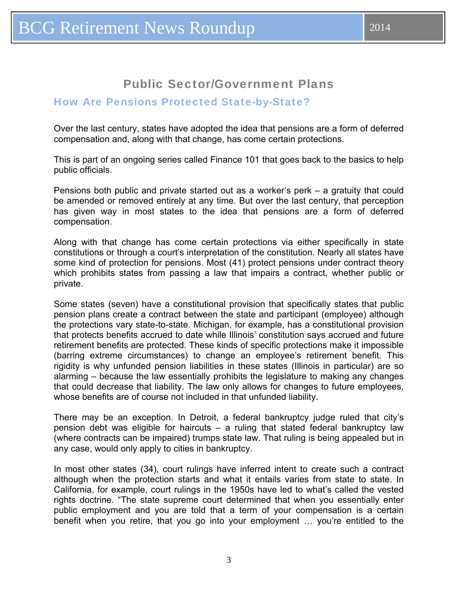# Public Sector/Government Plans

## <span id="page-2-0"></span>How Are Pensions Protected State-by-State?

Over the last century, states have adopted the idea that pensions are a form of deferred compensation and, along with that change, has come certain protections.

This is part of an ongoing series called Finance 101 that goes back to the basics to help public officials.

Pensions both public and private started out as a worker's perk – a gratuity that could be amended or removed entirely at any time. But over the last century, that perception has given way in most states to the idea that pensions are a form of deferred compensation.

Along with that change has come certain protections via either specifically in state constitutions or through a court's interpretation of the constitution. Nearly all states have some kind of protection for pensions. Most (41) protect pensions under contract theory which prohibits states from passing a law that impairs a contract, whether public or private.

Some states (seven) have a constitutional provision that specifically states that public pension plans create a contract between the state and participant (employee) although the protections vary state-to-state. Michigan, for example, has a constitutional provision that protects benefits accrued to date while Illinois' constitution says accrued and future retirement benefits are protected. These kinds of specific protections make it impossible (barring extreme circumstances) to change an employee's retirement benefit. This rigidity is why unfunded pension liabilities in these states (Illinois in particular) are so alarming – because the law essentially prohibits the legislature to making any changes that could decrease that liability. The law only allows for changes to future employees, whose benefits are of course not included in that unfunded liability.

There may be an exception. In Detroit, a federal bankruptcy judge ruled that city's pension debt was eligible for haircuts – a ruling that stated federal bankruptcy law (where contracts can be impaired) trumps state law. That ruling is being appealed but in any case, would only apply to cities in bankruptcy.

In most other states (34), court rulings have inferred intent to create such a contract although when the protection starts and what it entails varies from state to state. In California, for example, court rulings in the 1950s have led to what's called the vested rights doctrine. "The state supreme court determined that when you essentially enter public employment and you are told that a term of your compensation is a certain benefit when you retire, that you go into your employment … you're entitled to the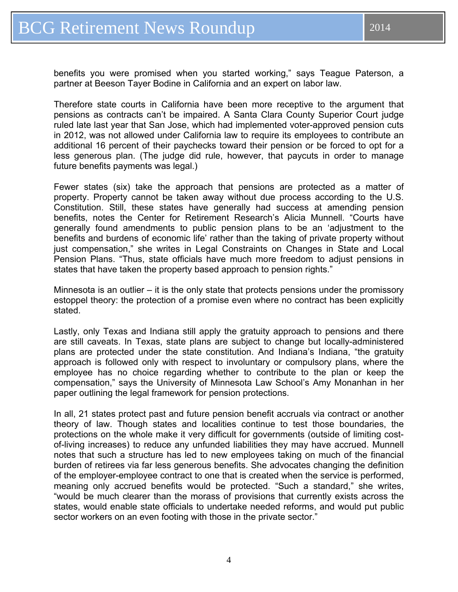benefits you were promised when you started working," says Teague Paterson, a partner at Beeson Tayer Bodine in California and an expert on labor law.

Therefore state courts in California have been more receptive to the argument that pensions as contracts can't be impaired. A Santa Clara County Superior Court judge ruled late last year that San Jose, which had implemented voter-approved pension cuts in 2012, was not allowed under California law to require its employees to contribute an additional 16 percent of their paychecks toward their pension or be forced to opt for a less generous plan. (The judge did rule, however, that paycuts in order to manage future benefits payments was legal.)

Fewer states (six) take the approach that pensions are protected as a matter of property. Property cannot be taken away without due process according to the U.S. Constitution. Still, these states have generally had success at amending pension benefits, notes the Center for Retirement Research's Alicia Munnell. "Courts have generally found amendments to public pension plans to be an 'adjustment to the benefits and burdens of economic life' rather than the taking of private property without just compensation," she writes in Legal Constraints on Changes in State and Local Pension Plans. "Thus, state officials have much more freedom to adjust pensions in states that have taken the property based approach to pension rights."

Minnesota is an outlier – it is the only state that protects pensions under the promissory estoppel theory: the protection of a promise even where no contract has been explicitly stated.

Lastly, only Texas and Indiana still apply the gratuity approach to pensions and there are still caveats. In Texas, state plans are subject to change but locally-administered plans are protected under the state constitution. And Indiana's Indiana, "the gratuity approach is followed only with respect to involuntary or compulsory plans, where the employee has no choice regarding whether to contribute to the plan or keep the compensation," says the University of Minnesota Law School's Amy Monanhan in her paper outlining the legal framework for pension protections.

In all, 21 states protect past and future pension benefit accruals via contract or another theory of law. Though states and localities continue to test those boundaries, the protections on the whole make it very difficult for governments (outside of limiting costof-living increases) to reduce any unfunded liabilities they may have accrued. Munnell notes that such a structure has led to new employees taking on much of the financial burden of retirees via far less generous benefits. She advocates changing the definition of the employer-employee contract to one that is created when the service is performed, meaning only accrued benefits would be protected. "Such a standard," she writes, "would be much clearer than the morass of provisions that currently exists across the states, would enable state officials to undertake needed reforms, and would put public sector workers on an even footing with those in the private sector."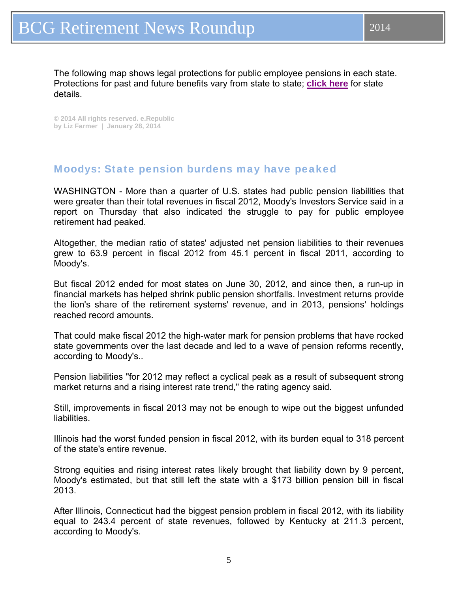<span id="page-4-0"></span>The following map shows legal protections for public employee pensions in each state. Protections for past and future benefits vary from state to state; **[click here](https://www.google.com/fusiontables/embedviz?q=select+col3%3E%3E1+from+1y0iwrJDGKmECjeTbbOWc-X4ns7hGMyYud-VWzYw&viz=MAP&h=false&lat=38.06539235133249&lng=-95.9765625&z=4&l=col3%3E%3E1&y=2&tmplt=2&hml=KML)** for state details.

**© 2014 All rights reserved. e.Republic by Liz Farmer | January 28, 2014** 

## Moodys: State pension burdens may have peaked

WASHINGTON - More than a quarter of U.S. states had public pension liabilities that were greater than their total revenues in fiscal 2012, Moody's Investors Service said in a report on Thursday that also indicated the struggle to pay for public employee retirement had peaked.

Altogether, the median ratio of states' adjusted net pension liabilities to their revenues grew to 63.9 percent in fiscal 2012 from 45.1 percent in fiscal 2011, according to Moody's.

But fiscal 2012 ended for most states on June 30, 2012, and since then, a run-up in financial markets has helped shrink public pension shortfalls. Investment returns provide the lion's share of the retirement systems' revenue, and in 2013, pensions' holdings reached record amounts.

That could make fiscal 2012 the high-water mark for pension problems that have rocked state governments over the last decade and led to a wave of pension reforms recently, according to Moody's..

Pension liabilities "for 2012 may reflect a cyclical peak as a result of subsequent strong market returns and a rising interest rate trend," the rating agency said.

Still, improvements in fiscal 2013 may not be enough to wipe out the biggest unfunded liabilities.

Illinois had the worst funded pension in fiscal 2012, with its burden equal to 318 percent of the state's entire revenue.

Strong equities and rising interest rates likely brought that liability down by 9 percent, Moody's estimated, but that still left the state with a \$173 billion pension bill in fiscal 2013.

After Illinois, Connecticut had the biggest pension problem in fiscal 2012, with its liability equal to 243.4 percent of state revenues, followed by Kentucky at 211.3 percent, according to Moody's.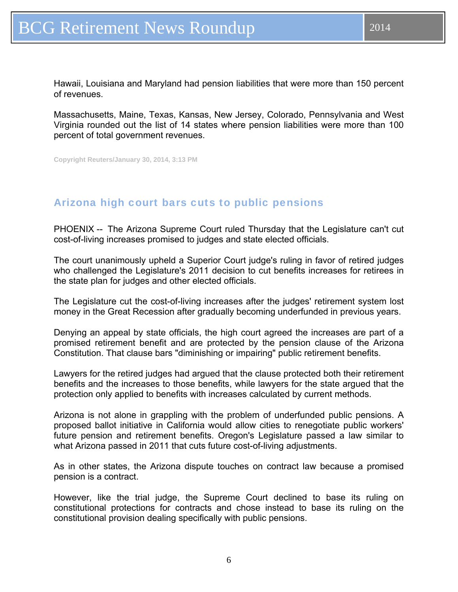<span id="page-5-0"></span>Hawaii, Louisiana and Maryland had pension liabilities that were more than 150 percent of revenues.

Massachusetts, Maine, Texas, Kansas, New Jersey, Colorado, Pennsylvania and West Virginia rounded out the list of 14 states where pension liabilities were more than 100 percent of total government revenues.

**Copyright Reuters/January 30, 2014, 3:13 PM** 

## Arizona high court bars cuts to public pensions

PHOENIX -- The Arizona Supreme Court ruled Thursday that the Legislature can't cut cost-of-living increases promised to judges and state elected officials.

The court unanimously upheld a Superior Court judge's ruling in favor of retired judges who challenged the Legislature's 2011 decision to cut benefits increases for retirees in the state plan for judges and other elected officials.

The Legislature cut the cost-of-living increases after the judges' retirement system lost money in the Great Recession after gradually becoming underfunded in previous years.

Denying an appeal by state officials, the high court agreed the increases are part of a promised retirement benefit and are protected by the pension clause of the Arizona Constitution. That clause bars "diminishing or impairing" public retirement benefits.

Lawyers for the retired judges had argued that the clause protected both their retirement benefits and the increases to those benefits, while lawyers for the state argued that the protection only applied to benefits with increases calculated by current methods.

Arizona is not alone in grappling with the problem of underfunded public pensions. A proposed ballot initiative in California would allow cities to renegotiate public workers' future pension and retirement benefits. Oregon's Legislature passed a law similar to what Arizona passed in 2011 that cuts future cost-of-living adjustments.

As in other states, the Arizona dispute touches on contract law because a promised pension is a contract.

However, like the trial judge, the Supreme Court declined to base its ruling on constitutional protections for contracts and chose instead to base its ruling on the constitutional provision dealing specifically with public pensions.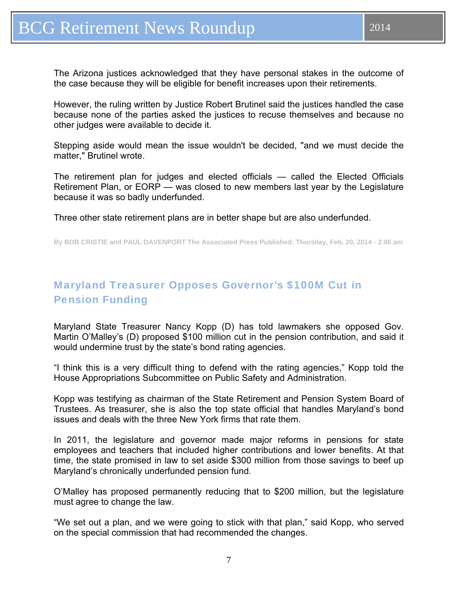<span id="page-6-0"></span>The Arizona justices acknowledged that they have personal stakes in the outcome of the case because they will be eligible for benefit increases upon their retirements.

However, the ruling written by Justice Robert Brutinel said the justices handled the case because none of the parties asked the justices to recuse themselves and because no other judges were available to decide it.

Stepping aside would mean the issue wouldn't be decided, "and we must decide the matter," Brutinel wrote.

The retirement plan for judges and elected officials — called the Elected Officials Retirement Plan, or EORP — was closed to new members last year by the Legislature because it was so badly underfunded.

Three other state retirement plans are in better shape but are also underfunded.

**By BOB CRISTIE and PAUL DAVENPORT The Associated Press Published: Thursday, Feb. 20, 2014 - 2:06 am** 

# Maryland Treasurer Opposes Governor's \$100M Cut in Pension Funding

Maryland State Treasurer Nancy Kopp (D) has told lawmakers she opposed Gov. Martin O'Malley's (D) proposed \$100 million cut in the pension contribution, and said it would undermine trust by the state's bond rating agencies.

"I think this is a very difficult thing to defend with the rating agencies," Kopp told the House Appropriations Subcommittee on Public Safety and Administration.

Kopp was testifying as chairman of the State Retirement and Pension System Board of Trustees. As treasurer, she is also the top state official that handles Maryland's bond issues and deals with the three New York firms that rate them.

In 2011, the legislature and governor made major reforms in pensions for state employees and teachers that included higher contributions and lower benefits. At that time, the state promised in law to set aside \$300 million from those savings to beef up Maryland's chronically underfunded pension fund.

O'Malley has proposed permanently reducing that to \$200 million, but the legislature must agree to change the law.

"We set out a plan, and we were going to stick with that plan," said Kopp, who served on the special commission that had recommended the changes.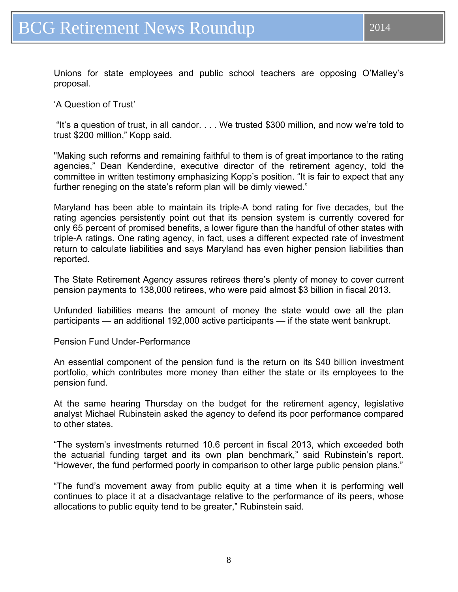Unions for state employees and public school teachers are opposing O'Malley's proposal.

'A Question of Trust'

 "It's a question of trust, in all candor. . . . We trusted \$300 million, and now we're told to trust \$200 million," Kopp said.

"Making such reforms and remaining faithful to them is of great importance to the rating agencies," Dean Kenderdine, executive director of the retirement agency, told the committee in written testimony emphasizing Kopp's position. "It is fair to expect that any further reneging on the state's reform plan will be dimly viewed."

Maryland has been able to maintain its triple-A bond rating for five decades, but the rating agencies persistently point out that its pension system is currently covered for only 65 percent of promised benefits, a lower figure than the handful of other states with triple-A ratings. One rating agency, in fact, uses a different expected rate of investment return to calculate liabilities and says Maryland has even higher pension liabilities than reported.

The State Retirement Agency assures retirees there's plenty of money to cover current pension payments to 138,000 retirees, who were paid almost \$3 billion in fiscal 2013.

Unfunded liabilities means the amount of money the state would owe all the plan participants — an additional 192,000 active participants — if the state went bankrupt.

Pension Fund Under-Performance

An essential component of the pension fund is the return on its \$40 billion investment portfolio, which contributes more money than either the state or its employees to the pension fund.

At the same hearing Thursday on the budget for the retirement agency, legislative analyst Michael Rubinstein asked the agency to defend its poor performance compared to other states.

"The system's investments returned 10.6 percent in fiscal 2013, which exceeded both the actuarial funding target and its own plan benchmark," said Rubinstein's report. "However, the fund performed poorly in comparison to other large public pension plans."

"The fund's movement away from public equity at a time when it is performing well continues to place it at a disadvantage relative to the performance of its peers, whose allocations to public equity tend to be greater," Rubinstein said.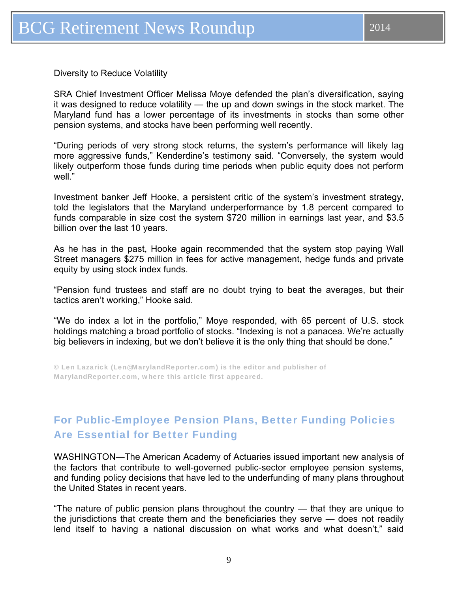<span id="page-8-0"></span>Diversity to Reduce Volatility

SRA Chief Investment Officer Melissa Moye defended the plan's diversification, saying it was designed to reduce volatility — the up and down swings in the stock market. The Maryland fund has a lower percentage of its investments in stocks than some other pension systems, and stocks have been performing well recently.

"During periods of very strong stock returns, the system's performance will likely lag more aggressive funds," Kenderdine's testimony said. "Conversely, the system would likely outperform those funds during time periods when public equity does not perform well."

Investment banker Jeff Hooke, a persistent critic of the system's investment strategy, told the legislators that the Maryland underperformance by 1.8 percent compared to funds comparable in size cost the system \$720 million in earnings last year, and \$3.5 billion over the last 10 years.

As he has in the past, Hooke again recommended that the system stop paying Wall Street managers \$275 million in fees for active management, hedge funds and private equity by using stock index funds.

"Pension fund trustees and staff are no doubt trying to beat the averages, but their tactics aren't working," Hooke said.

"We do index a lot in the portfolio," Moye responded, with 65 percent of U.S. stock holdings matching a broad portfolio of stocks. "Indexing is not a panacea. We're actually big believers in indexing, but we don't believe it is the only thing that should be done."

© Len Lazarick (Len@MarylandReporter.com) is the editor and publisher of MarylandReporter.com, where this article first appeared.

## For Public-Employee Pension Plans, Better Funding Policies Are Essential for Better Funding

WASHINGTON—The American Academy of Actuaries issued important new analysis of the factors that contribute to well-governed public-sector employee pension systems, and funding policy decisions that have led to the underfunding of many plans throughout the United States in recent years.

"The nature of public pension plans throughout the country — that they are unique to the jurisdictions that create them and the beneficiaries they serve — does not readily lend itself to having a national discussion on what works and what doesn't," said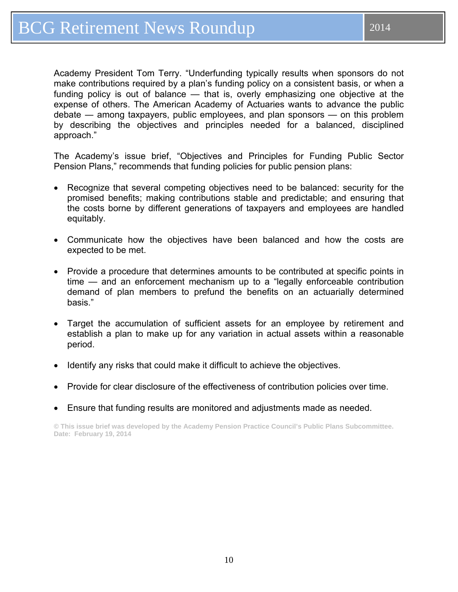Academy President Tom Terry. "Underfunding typically results when sponsors do not make contributions required by a plan's funding policy on a consistent basis, or when a funding policy is out of balance — that is, overly emphasizing one objective at the expense of others. The American Academy of Actuaries wants to advance the public debate ― among taxpayers, public employees, and plan sponsors — on this problem by describing the objectives and principles needed for a balanced, disciplined approach."

The Academy's issue brief, "Objectives and Principles for Funding Public Sector Pension Plans," recommends that funding policies for public pension plans:

- Recognize that several competing objectives need to be balanced: security for the promised benefits; making contributions stable and predictable; and ensuring that the costs borne by different generations of taxpayers and employees are handled equitably.
- Communicate how the objectives have been balanced and how the costs are expected to be met.
- Provide a procedure that determines amounts to be contributed at specific points in time — and an enforcement mechanism up to a "legally enforceable contribution demand of plan members to prefund the benefits on an actuarially determined basis."
- Target the accumulation of sufficient assets for an employee by retirement and establish a plan to make up for any variation in actual assets within a reasonable period.
- Identify any risks that could make it difficult to achieve the objectives.
- Provide for clear disclosure of the effectiveness of contribution policies over time.
- Ensure that funding results are monitored and adjustments made as needed.

**© This issue brief was developed by the Academy Pension Practice Council's Public Plans Subcommittee. Date: February 19, 2014**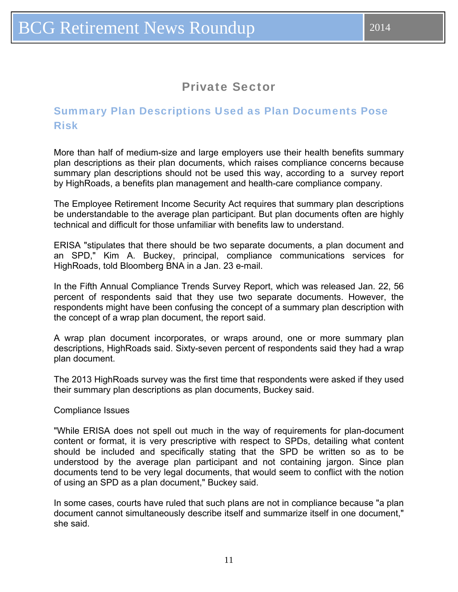# Private Sector

## <span id="page-10-0"></span>Summary Plan Descriptions Used as Plan Documents Pose Risk

More than half of medium-size and large employers use their health benefits summary plan descriptions as their plan documents, which raises compliance concerns because summary plan descriptions should not be used this way, according to a survey report by HighRoads, a benefits plan management and health-care compliance company.

The Employee Retirement Income Security Act requires that summary plan descriptions be understandable to the average plan participant. But plan documents often are highly technical and difficult for those unfamiliar with benefits law to understand.

ERISA "stipulates that there should be two separate documents, a plan document and an SPD," Kim A. Buckey, principal, compliance communications services for HighRoads, told Bloomberg BNA in a Jan. 23 e-mail.

In the Fifth Annual Compliance Trends Survey Report, which was released Jan. 22, 56 percent of respondents said that they use two separate documents. However, the respondents might have been confusing the concept of a summary plan description with the concept of a wrap plan document, the report said.

A wrap plan document incorporates, or wraps around, one or more summary plan descriptions, HighRoads said. Sixty-seven percent of respondents said they had a wrap plan document.

The 2013 HighRoads survey was the first time that respondents were asked if they used their summary plan descriptions as plan documents, Buckey said.

#### Compliance Issues

"While ERISA does not spell out much in the way of requirements for plan-document content or format, it is very prescriptive with respect to SPDs, detailing what content should be included and specifically stating that the SPD be written so as to be understood by the average plan participant and not containing jargon. Since plan documents tend to be very legal documents, that would seem to conflict with the notion of using an SPD as a plan document," Buckey said.

In some cases, courts have ruled that such plans are not in compliance because "a plan document cannot simultaneously describe itself and summarize itself in one document," she said.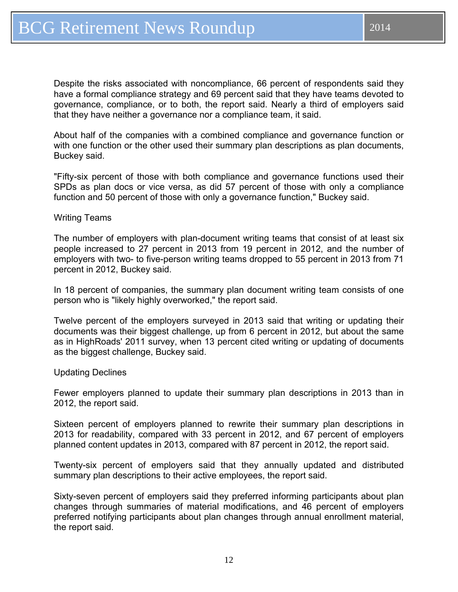Despite the risks associated with noncompliance, 66 percent of respondents said they have a formal compliance strategy and 69 percent said that they have teams devoted to governance, compliance, or to both, the report said. Nearly a third of employers said that they have neither a governance nor a compliance team, it said.

About half of the companies with a combined compliance and governance function or with one function or the other used their summary plan descriptions as plan documents, Buckey said.

"Fifty-six percent of those with both compliance and governance functions used their SPDs as plan docs or vice versa, as did 57 percent of those with only a compliance function and 50 percent of those with only a governance function," Buckey said.

#### Writing Teams

The number of employers with plan-document writing teams that consist of at least six people increased to 27 percent in 2013 from 19 percent in 2012, and the number of employers with two- to five-person writing teams dropped to 55 percent in 2013 from 71 percent in 2012, Buckey said.

In 18 percent of companies, the summary plan document writing team consists of one person who is "likely highly overworked," the report said.

Twelve percent of the employers surveyed in 2013 said that writing or updating their documents was their biggest challenge, up from 6 percent in 2012, but about the same as in HighRoads' 2011 survey, when 13 percent cited writing or updating of documents as the biggest challenge, Buckey said.

#### Updating Declines

Fewer employers planned to update their summary plan descriptions in 2013 than in 2012, the report said.

Sixteen percent of employers planned to rewrite their summary plan descriptions in 2013 for readability, compared with 33 percent in 2012, and 67 percent of employers planned content updates in 2013, compared with 87 percent in 2012, the report said.

Twenty-six percent of employers said that they annually updated and distributed summary plan descriptions to their active employees, the report said.

Sixty-seven percent of employers said they preferred informing participants about plan changes through summaries of material modifications, and 46 percent of employers preferred notifying participants about plan changes through annual enrollment material, the report said.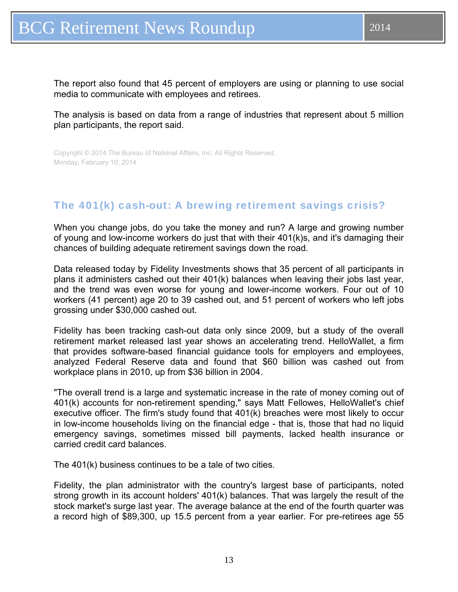<span id="page-12-0"></span>The report also found that 45 percent of employers are using or planning to use social media to communicate with employees and retirees.

The analysis is based on data from a range of industries that represent about 5 million plan participants, the report said.

Copyright © 2014 The Bureau of National Affairs, Inc. All Rights Reserved. Monday, February 10, 2014

## The 401(k) cash-out: A brewing retirement savings crisis?

When you change jobs, do you take the money and run? A large and growing number of young and low-income workers do just that with their 401(k)s, and it's damaging their chances of building adequate retirement savings down the road.

Data released today by Fidelity Investments shows that 35 percent of all participants in plans it administers cashed out their 401(k) balances when leaving their jobs last year, and the trend was even worse for young and lower-income workers. Four out of 10 workers (41 percent) age 20 to 39 cashed out, and 51 percent of workers who left jobs grossing under \$30,000 cashed out.

Fidelity has been tracking cash-out data only since 2009, but a study of the overall retirement market released last year shows an accelerating trend. HelloWallet, a firm that provides software-based financial guidance tools for employers and employees, analyzed Federal Reserve data and found that \$60 billion was cashed out from workplace plans in 2010, up from \$36 billion in 2004.

"The overall trend is a large and systematic increase in the rate of money coming out of 401(k) accounts for non-retirement spending," says Matt Fellowes, HelloWallet's chief executive officer. The firm's study found that 401(k) breaches were most likely to occur in low-income households living on the financial edge - that is, those that had no liquid emergency savings, sometimes missed bill payments, lacked health insurance or carried credit card balances.

The 401(k) business continues to be a tale of two cities.

Fidelity, the plan administrator with the country's largest base of participants, noted strong growth in its account holders' 401(k) balances. That was largely the result of the stock market's surge last year. The average balance at the end of the fourth quarter was a record high of \$89,300, up 15.5 percent from a year earlier. For pre-retirees age 55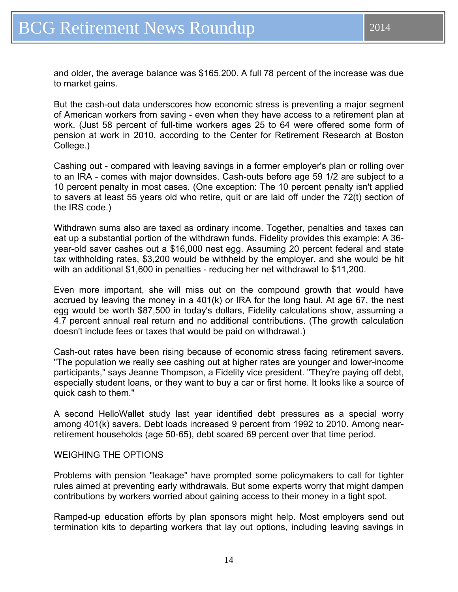But the cash-out data underscores how economic stress is preventing a major segment of American workers from saving - even when they have access to a retirement plan at work. (Just 58 percent of full-time workers ages 25 to 64 were offered some form of pension at work in 2010, according to the Center for Retirement Research at Boston College.)

Cashing out - compared with leaving savings in a former employer's plan or rolling over to an IRA - comes with major downsides. Cash-outs before age 59 1/2 are subject to a 10 percent penalty in most cases. (One exception: The 10 percent penalty isn't applied to savers at least 55 years old who retire, quit or are laid off under the 72(t) section of the IRS code.)

Withdrawn sums also are taxed as ordinary income. Together, penalties and taxes can eat up a substantial portion of the withdrawn funds. Fidelity provides this example: A 36 year-old saver cashes out a \$16,000 nest egg. Assuming 20 percent federal and state tax withholding rates, \$3,200 would be withheld by the employer, and she would be hit with an additional \$1,600 in penalties - reducing her net withdrawal to \$11,200.

Even more important, she will miss out on the compound growth that would have accrued by leaving the money in a 401(k) or IRA for the long haul. At age 67, the nest egg would be worth \$87,500 in today's dollars, Fidelity calculations show, assuming a 4.7 percent annual real return and no additional contributions. (The growth calculation doesn't include fees or taxes that would be paid on withdrawal.)

Cash-out rates have been rising because of economic stress facing retirement savers. "The population we really see cashing out at higher rates are younger and lower-income participants," says Jeanne Thompson, a Fidelity vice president. "They're paying off debt, especially student loans, or they want to buy a car or first home. It looks like a source of quick cash to them."

A second HelloWallet study last year identified debt pressures as a special worry among 401(k) savers. Debt loads increased 9 percent from 1992 to 2010. Among nearretirement households (age 50-65), debt soared 69 percent over that time period.

#### WEIGHING THE OPTIONS

Problems with pension "leakage" have prompted some policymakers to call for tighter rules aimed at preventing early withdrawals. But some experts worry that might dampen contributions by workers worried about gaining access to their money in a tight spot.

Ramped-up education efforts by plan sponsors might help. Most employers send out termination kits to departing workers that lay out options, including leaving savings in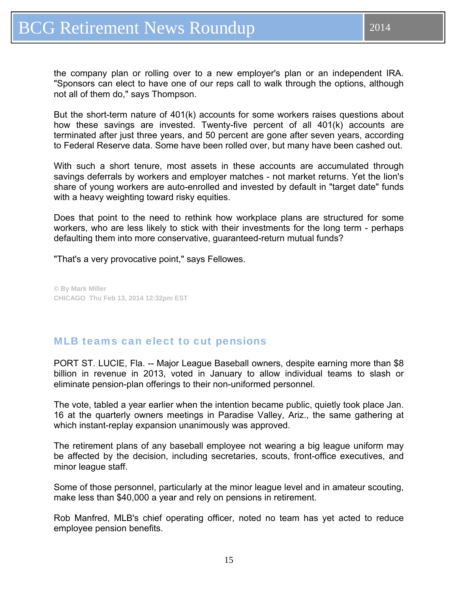<span id="page-14-0"></span>the company plan or rolling over to a new employer's plan or an independent IRA. "Sponsors can elect to have one of our reps call to walk through the options, although not all of them do," says Thompson.

But the short-term nature of 401(k) accounts for some workers raises questions about how these savings are invested. Twenty-five percent of all 401(k) accounts are terminated after just three years, and 50 percent are gone after seven years, according to Federal Reserve data. Some have been rolled over, but many have been cashed out.

With such a short tenure, most assets in these accounts are accumulated through savings deferrals by workers and employer matches - not market returns. Yet the lion's share of young workers are auto-enrolled and invested by default in "target date" funds with a heavy weighting toward risky equities.

Does that point to the need to rethink how workplace plans are structured for some workers, who are less likely to stick with their investments for the long term - perhaps defaulting them into more conservative, guaranteed-return mutual funds?

"That's a very provocative point," says Fellowes.

**© By Mark Miller CHICAGO Thu Feb 13, 2014 12:32pm EST** 

## MLB teams can elect to cut pensions

PORT ST. LUCIE, Fla. -- Major League Baseball owners, despite earning more than \$8 billion in revenue in 2013, voted in January to allow individual teams to slash or eliminate pension-plan offerings to their non-uniformed personnel.

The vote, tabled a year earlier when the intention became public, quietly took place Jan. 16 at the quarterly owners meetings in Paradise Valley, Ariz., the same gathering at which instant-replay expansion unanimously was approved.

The retirement plans of any baseball employee not wearing a big league uniform may be affected by the decision, including secretaries, scouts, front-office executives, and minor league staff.

Some of those personnel, particularly at the minor league level and in amateur scouting, make less than \$40,000 a year and rely on pensions in retirement.

Rob Manfred, MLB's chief operating officer, noted no team has yet acted to reduce employee pension benefits.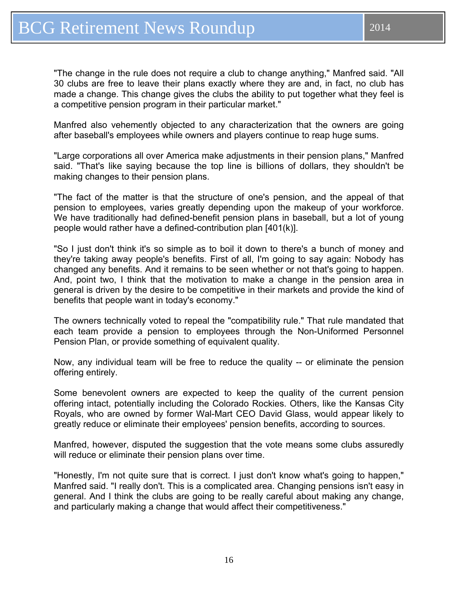"The change in the rule does not require a club to change anything," Manfred said. "All 30 clubs are free to leave their plans exactly where they are and, in fact, no club has made a change. This change gives the clubs the ability to put together what they feel is a competitive pension program in their particular market."

Manfred also vehemently objected to any characterization that the owners are going after baseball's employees while owners and players continue to reap huge sums.

"Large corporations all over America make adjustments in their pension plans," Manfred said. "That's like saying because the top line is billions of dollars, they shouldn't be making changes to their pension plans.

"The fact of the matter is that the structure of one's pension, and the appeal of that pension to employees, varies greatly depending upon the makeup of your workforce. We have traditionally had defined-benefit pension plans in baseball, but a lot of young people would rather have a defined-contribution plan [401(k)].

"So I just don't think it's so simple as to boil it down to there's a bunch of money and they're taking away people's benefits. First of all, I'm going to say again: Nobody has changed any benefits. And it remains to be seen whether or not that's going to happen. And, point two, I think that the motivation to make a change in the pension area in general is driven by the desire to be competitive in their markets and provide the kind of benefits that people want in today's economy."

The owners technically voted to repeal the "compatibility rule." That rule mandated that each team provide a pension to employees through the Non-Uniformed Personnel Pension Plan, or provide something of equivalent quality.

Now, any individual team will be free to reduce the quality -- or eliminate the pension offering entirely.

Some benevolent owners are expected to keep the quality of the current pension offering intact, potentially including the Colorado Rockies. Others, like the Kansas City Royals, who are owned by former Wal-Mart CEO David Glass, would appear likely to greatly reduce or eliminate their employees' pension benefits, according to sources.

Manfred, however, disputed the suggestion that the vote means some clubs assuredly will reduce or eliminate their pension plans over time.

"Honestly, I'm not quite sure that is correct. I just don't know what's going to happen," Manfred said. "I really don't. This is a complicated area. Changing pensions isn't easy in general. And I think the clubs are going to be really careful about making any change, and particularly making a change that would affect their competitiveness."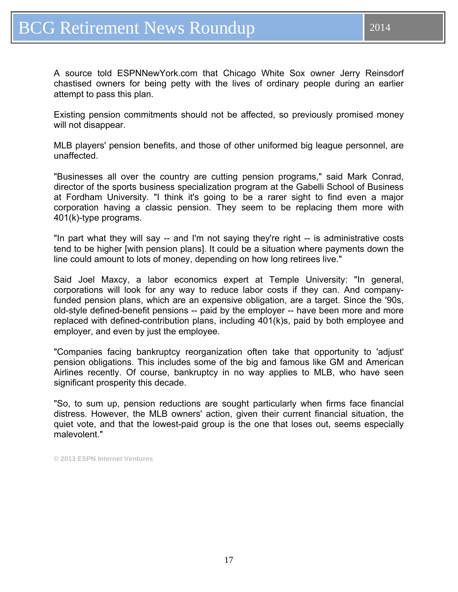A source told ESPNNewYork.com that Chicago White Sox owner Jerry Reinsdorf chastised owners for being petty with the lives of ordinary people during an earlier attempt to pass this plan.

Existing pension commitments should not be affected, so previously promised money will not disappear.

MLB players' pension benefits, and those of other uniformed big league personnel, are unaffected.

"Businesses all over the country are cutting pension programs," said Mark Conrad, director of the sports business specialization program at the Gabelli School of Business at Fordham University. "I think it's going to be a rarer sight to find even a major corporation having a classic pension. They seem to be replacing them more with 401(k)-type programs.

"In part what they will say -- and I'm not saying they're right -- is administrative costs tend to be higher [with pension plans]. It could be a situation where payments down the line could amount to lots of money, depending on how long retirees live."

Said Joel Maxcy, a labor economics expert at Temple University: "In general, corporations will look for any way to reduce labor costs if they can. And companyfunded pension plans, which are an expensive obligation, are a target. Since the '90s, old-style defined-benefit pensions -- paid by the employer -- have been more and more replaced with defined-contribution plans, including 401(k)s, paid by both employee and employer, and even by just the employee.

"Companies facing bankruptcy reorganization often take that opportunity to 'adjust' pension obligations. This includes some of the big and famous like GM and American Airlines recently. Of course, bankruptcy in no way applies to MLB, who have seen significant prosperity this decade.

"So, to sum up, pension reductions are sought particularly when firms face financial distress. However, the MLB owners' action, given their current financial situation, the quiet vote, and that the lowest-paid group is the one that loses out, seems especially malevolent."

**© 2013 ESPN Internet Ventures**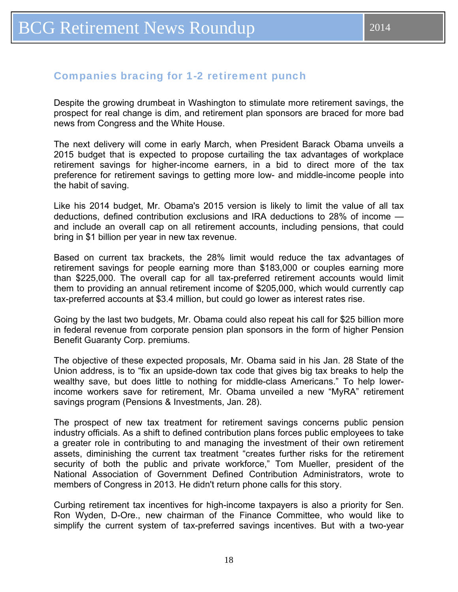### <span id="page-17-0"></span>Companies bracing for 1-2 retirement punch

Despite the growing drumbeat in Washington to stimulate more retirement savings, the prospect for real change is dim, and retirement plan sponsors are braced for more bad news from Congress and the White House.

The next delivery will come in early March, when President Barack Obama unveils a 2015 budget that is expected to propose curtailing the tax advantages of workplace retirement savings for higher-income earners, in a bid to direct more of the tax preference for retirement savings to getting more low- and middle-income people into the habit of saving.

Like his 2014 budget, Mr. Obama's 2015 version is likely to limit the value of all tax deductions, defined contribution exclusions and IRA deductions to 28% of income and include an overall cap on all retirement accounts, including pensions, that could bring in \$1 billion per year in new tax revenue.

Based on current tax brackets, the 28% limit would reduce the tax advantages of retirement savings for people earning more than \$183,000 or couples earning more than \$225,000. The overall cap for all tax-preferred retirement accounts would limit them to providing an annual retirement income of \$205,000, which would currently cap tax-preferred accounts at \$3.4 million, but could go lower as interest rates rise.

Going by the last two budgets, Mr. Obama could also repeat his call for \$25 billion more in federal revenue from corporate pension plan sponsors in the form of higher Pension Benefit Guaranty Corp. premiums.

The objective of these expected proposals, Mr. Obama said in his Jan. 28 State of the Union address, is to "fix an upside-down tax code that gives big tax breaks to help the wealthy save, but does little to nothing for middle-class Americans." To help lowerincome workers save for retirement, Mr. Obama unveiled a new "MyRA" retirement savings program (Pensions & Investments, Jan. 28).

The prospect of new tax treatment for retirement savings concerns public pension industry officials. As a shift to defined contribution plans forces public employees to take a greater role in contributing to and managing the investment of their own retirement assets, diminishing the current tax treatment "creates further risks for the retirement security of both the public and private workforce," Tom Mueller, president of the National Association of Government Defined Contribution Administrators, wrote to members of Congress in 2013. He didn't return phone calls for this story.

Curbing retirement tax incentives for high-income taxpayers is also a priority for Sen. Ron Wyden, D-Ore., new chairman of the Finance Committee, who would like to simplify the current system of tax-preferred savings incentives. But with a two-year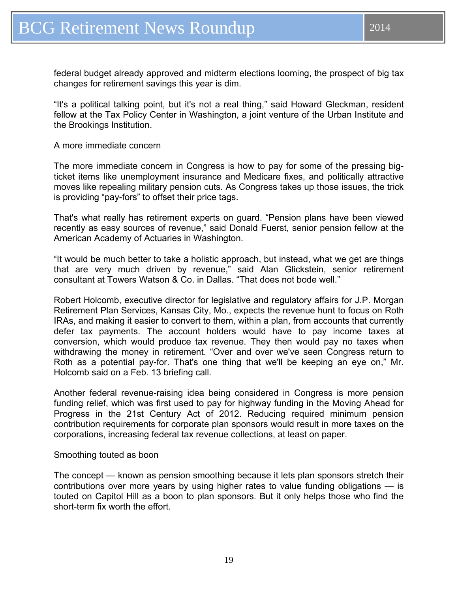federal budget already approved and midterm elections looming, the prospect of big tax changes for retirement savings this year is dim.

"It's a political talking point, but it's not a real thing," said Howard Gleckman, resident fellow at the Tax Policy Center in Washington, a joint venture of the Urban Institute and the Brookings Institution.

#### A more immediate concern

The more immediate concern in Congress is how to pay for some of the pressing bigticket items like unemployment insurance and Medicare fixes, and politically attractive moves like repealing military pension cuts. As Congress takes up those issues, the trick is providing "pay-fors" to offset their price tags.

That's what really has retirement experts on guard. "Pension plans have been viewed recently as easy sources of revenue," said Donald Fuerst, senior pension fellow at the American Academy of Actuaries in Washington.

"It would be much better to take a holistic approach, but instead, what we get are things that are very much driven by revenue," said Alan Glickstein, senior retirement consultant at Towers Watson & Co. in Dallas. "That does not bode well."

Robert Holcomb, executive director for legislative and regulatory affairs for J.P. Morgan Retirement Plan Services, Kansas City, Mo., expects the revenue hunt to focus on Roth IRAs, and making it easier to convert to them, within a plan, from accounts that currently defer tax payments. The account holders would have to pay income taxes at conversion, which would produce tax revenue. They then would pay no taxes when withdrawing the money in retirement. "Over and over we've seen Congress return to Roth as a potential pay-for. That's one thing that we'll be keeping an eye on," Mr. Holcomb said on a Feb. 13 briefing call.

Another federal revenue-raising idea being considered in Congress is more pension funding relief, which was first used to pay for highway funding in the Moving Ahead for Progress in the 21st Century Act of 2012. Reducing required minimum pension contribution requirements for corporate plan sponsors would result in more taxes on the corporations, increasing federal tax revenue collections, at least on paper.

#### Smoothing touted as boon

The concept — known as pension smoothing because it lets plan sponsors stretch their contributions over more years by using higher rates to value funding obligations — is touted on Capitol Hill as a boon to plan sponsors. But it only helps those who find the short-term fix worth the effort.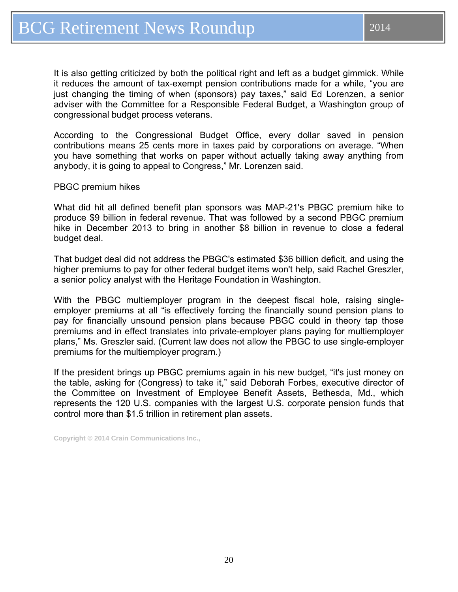It is also getting criticized by both the political right and left as a budget gimmick. While it reduces the amount of tax-exempt pension contributions made for a while, "you are just changing the timing of when (sponsors) pay taxes," said Ed Lorenzen, a senior adviser with the Committee for a Responsible Federal Budget, a Washington group of congressional budget process veterans.

According to the Congressional Budget Office, every dollar saved in pension contributions means 25 cents more in taxes paid by corporations on average. "When you have something that works on paper without actually taking away anything from anybody, it is going to appeal to Congress," Mr. Lorenzen said.

PBGC premium hikes

What did hit all defined benefit plan sponsors was MAP-21's PBGC premium hike to produce \$9 billion in federal revenue. That was followed by a second PBGC premium hike in December 2013 to bring in another \$8 billion in revenue to close a federal budget deal.

That budget deal did not address the PBGC's estimated \$36 billion deficit, and using the higher premiums to pay for other federal budget items won't help, said Rachel Greszler, a senior policy analyst with the Heritage Foundation in Washington.

With the PBGC multiemployer program in the deepest fiscal hole, raising singleemployer premiums at all "is effectively forcing the financially sound pension plans to pay for financially unsound pension plans because PBGC could in theory tap those premiums and in effect translates into private-employer plans paying for multiemployer plans," Ms. Greszler said. (Current law does not allow the PBGC to use single-employer premiums for the multiemployer program.)

If the president brings up PBGC premiums again in his new budget, "it's just money on the table, asking for (Congress) to take it," said Deborah Forbes, executive director of the Committee on Investment of Employee Benefit Assets, Bethesda, Md., which represents the 120 U.S. companies with the largest U.S. corporate pension funds that control more than \$1.5 trillion in retirement plan assets.

**Copyright © 2014 Crain Communications Inc.,**